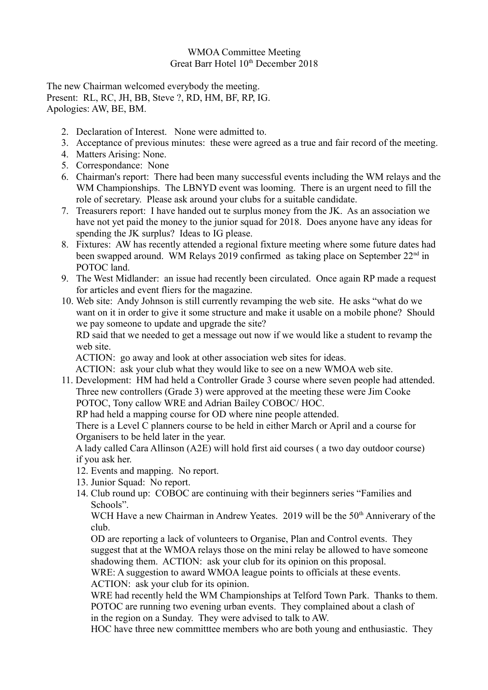## WMOA Committee Meeting Great Barr Hotel 10<sup>th</sup> December 2018

The new Chairman welcomed everybody the meeting. Present: RL, RC, JH, BB, Steve ?, RD, HM, BF, RP, IG. Apologies: AW, BE, BM.

- 2. Declaration of Interest. None were admitted to.
- 3. Acceptance of previous minutes: these were agreed as a true and fair record of the meeting.
- 4. Matters Arising: None.
- 5. Correspondance: None
- 6. Chairman's report: There had been many successful events including the WM relays and the WM Championships. The LBNYD event was looming. There is an urgent need to fill the role of secretary. Please ask around your clubs for a suitable candidate.
- 7. Treasurers report: I have handed out te surplus money from the JK. As an association we have not yet paid the money to the junior squad for 2018. Does anyone have any ideas for spending the JK surplus? Ideas to IG please.
- 8. Fixtures: AW has recently attended a regional fixture meeting where some future dates had been swapped around. WM Relays 2019 confirmed as taking place on September  $22<sup>nd</sup>$  in POTOC land.
- 9. The West Midlander: an issue had recently been circulated. Once again RP made a request for articles and event fliers for the magazine.
- 10. Web site: Andy Johnson is still currently revamping the web site. He asks "what do we want on it in order to give it some structure and make it usable on a mobile phone? Should we pay someone to update and upgrade the site?

RD said that we needed to get a message out now if we would like a student to revamp the web site.

ACTION: go away and look at other association web sites for ideas.

ACTION: ask your club what they would like to see on a new WMOA web site.

 11. Development: HM had held a Controller Grade 3 course where seven people had attended. Three new controllers (Grade 3) were approved at the meeting these were Jim Cooke POTOC, Tony callow WRE and Adrian Bailey COBOC/ HOC.

RP had held a mapping course for OD where nine people attended.

 There is a Level C planners course to be held in either March or April and a course for Organisers to be held later in the year.

 A lady called Cara Allinson (A2E) will hold first aid courses ( a two day outdoor course) if you ask her.

- 12. Events and mapping. No report.
- 13. Junior Squad: No report.
- 14. Club round up: COBOC are continuing with their beginners series "Families and Schools".

WCH Have a new Chairman in Andrew Yeates. 2019 will be the  $50<sup>th</sup>$  Anniverary of the club.

OD are reporting a lack of volunteers to Organise, Plan and Control events. They suggest that at the WMOA relays those on the mini relay be allowed to have someone shadowing them. ACTION: ask your club for its opinion on this proposal.

WRE: A suggestion to award WMOA league points to officials at these events. ACTION: ask your club for its opinion.

 WRE had recently held the WM Championships at Telford Town Park. Thanks to them. POTOC are running two evening urban events. They complained about a clash of in the region on a Sunday. They were advised to talk to AW.

HOC have three new committtee members who are both young and enthusiastic. They